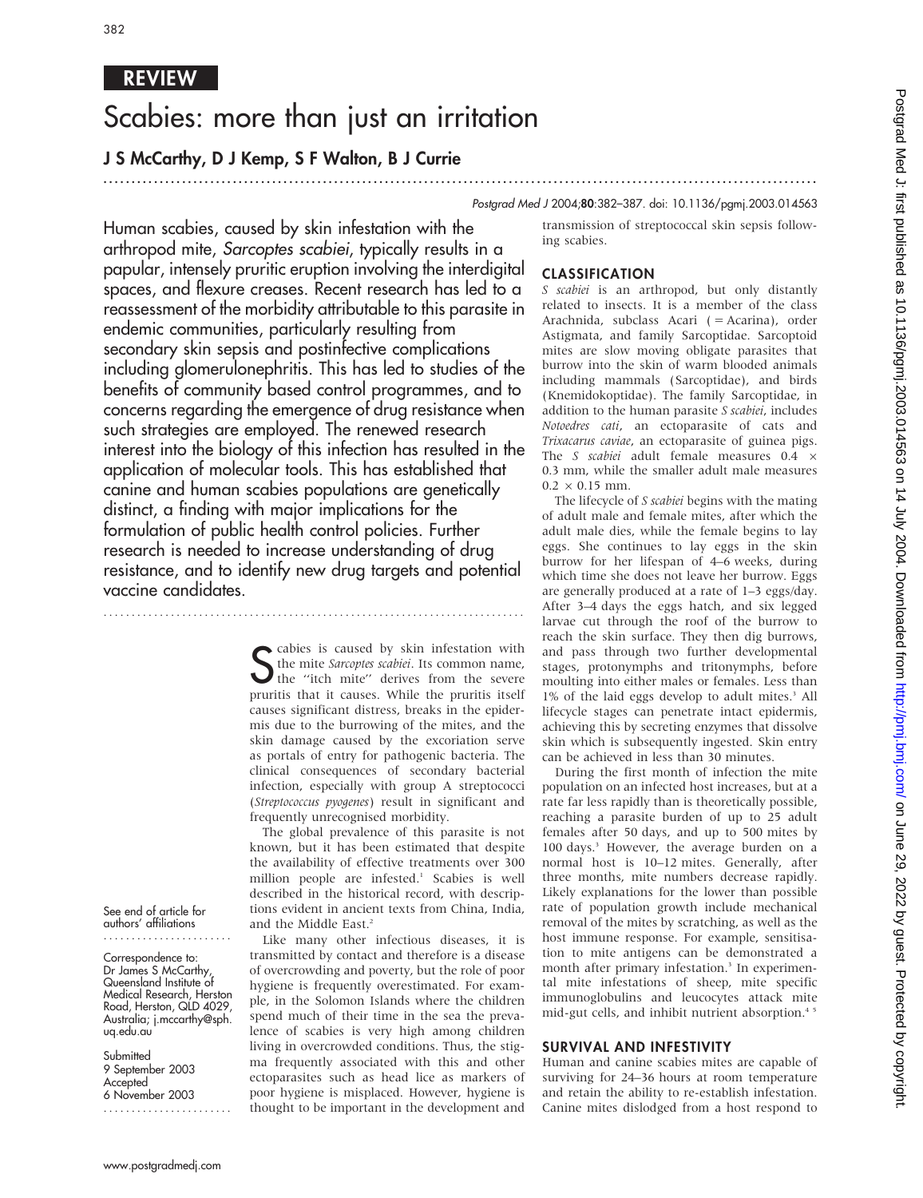# REVIEW

# Scabies: more than just an irritation

# J S McCarthy, D J Kemp, S F Walton, B J Currie

# .............................................................................................................................. . Postgrad Med J 2004;80:382–387. doi: 10.1136/pgmj.2003.014563

Human scabies, caused by skin infestation with the arthropod mite, Sarcoptes scabiei, typically results in a papular, intensely pruritic eruption involving the interdigital spaces, and flexure creases. Recent research has led to a reassessment of the morbidity attributable to this parasite in endemic communities, particularly resulting from secondary skin sepsis and postinfective complications including glomerulonephritis. This has led to studies of the benefits of community based control programmes, and to concerns regarding the emergence of drug resistance when such strategies are employed. The renewed research interest into the biology of this infection has resulted in the application of molecular tools. This has established that canine and human scabies populations are genetically distinct, a finding with major implications for the formulation of public health control policies. Further research is needed to increase understanding of drug resistance, and to identify new drug targets and potential vaccine candidates.

...........................................................................

S cables is caused by skin intestation with<br>the mite *Sarcoptes scabiei*. Its common name,<br>the "itch mite" derives from the severe cabies is caused by skin infestation with the ''itch mite'' derives from the severe pruritis that it causes. While the pruritis itself causes significant distress, breaks in the epidermis due to the burrowing of the mites, and the skin damage caused by the excoriation serve as portals of entry for pathogenic bacteria. The clinical consequences of secondary bacterial infection, especially with group A streptococci (Streptococcus pyogenes) result in significant and frequently unrecognised morbidity.

The global prevalence of this parasite is not known, but it has been estimated that despite the availability of effective treatments over 300 million people are infested.<sup>1</sup> Scabies is well described in the historical record, with descriptions evident in ancient texts from China, India, and the Middle East.<sup>2</sup>

Like many other infectious diseases, it is transmitted by contact and therefore is a disease of overcrowding and poverty, but the role of poor hygiene is frequently overestimated. For example, in the Solomon Islands where the children spend much of their time in the sea the prevalence of scabies is very high among children living in overcrowded conditions. Thus, the stigma frequently associated with this and other ectoparasites such as head lice as markers of poor hygiene is misplaced. However, hygiene is thought to be important in the development and transmission of streptococcal skin sepsis following scabies.

# CLASSIFICATION

S scabiei is an arthropod, but only distantly related to insects. It is a member of the class Arachnida, subclass Acari ( = Acarina), order Astigmata, and family Sarcoptidae. Sarcoptoid mites are slow moving obligate parasites that burrow into the skin of warm blooded animals including mammals (Sarcoptidae), and birds (Knemidokoptidae). The family Sarcoptidae, in addition to the human parasite S scabiei, includes Notoedres cati, an ectoparasite of cats and Trixacarus caviae, an ectoparasite of guinea pigs. The *S* scabiei adult female measures  $0.4 \times$ 0.3 mm, while the smaller adult male measures  $0.2 \times 0.15$  mm.

The lifecycle of *S scabiei* begins with the mating of adult male and female mites, after which the adult male dies, while the female begins to lay eggs. She continues to lay eggs in the skin burrow for her lifespan of 4–6 weeks, during which time she does not leave her burrow. Eggs are generally produced at a rate of 1–3 eggs/day. After 3–4 days the eggs hatch, and six legged larvae cut through the roof of the burrow to reach the skin surface. They then dig burrows, and pass through two further developmental stages, protonymphs and tritonymphs, before moulting into either males or females. Less than 1% of the laid eggs develop to adult mites.<sup>3</sup> All lifecycle stages can penetrate intact epidermis, achieving this by secreting enzymes that dissolve skin which is subsequently ingested. Skin entry can be achieved in less than 30 minutes.

During the first month of infection the mite population on an infected host increases, but at a rate far less rapidly than is theoretically possible, reaching a parasite burden of up to 25 adult females after 50 days, and up to 500 mites by 100 days.<sup>3</sup> However, the average burden on a normal host is 10–12 mites. Generally, after three months, mite numbers decrease rapidly. Likely explanations for the lower than possible rate of population growth include mechanical removal of the mites by scratching, as well as the host immune response. For example, sensitisation to mite antigens can be demonstrated a month after primary infestation.<sup>3</sup> In experimental mite infestations of sheep, mite specific immunoglobulins and leucocytes attack mite mid-gut cells, and inhibit nutrient absorption.<sup>4</sup>

# SURVIVAL AND INFESTIVITY

Human and canine scabies mites are capable of surviving for 24–36 hours at room temperature and retain the ability to re-establish infestation. Canine mites dislodged from a host respond to

Road, Herston, QLD 4029, Australia; j.mccarthy@sph. uq.edu.au

See end of article for authors' affiliations ....................... Correspondence to: Dr James S McCarthy, Queensland Institute of Medical Research, Herston

**Submitted** 9 September 2003 Accepted 6 November 2003 .......................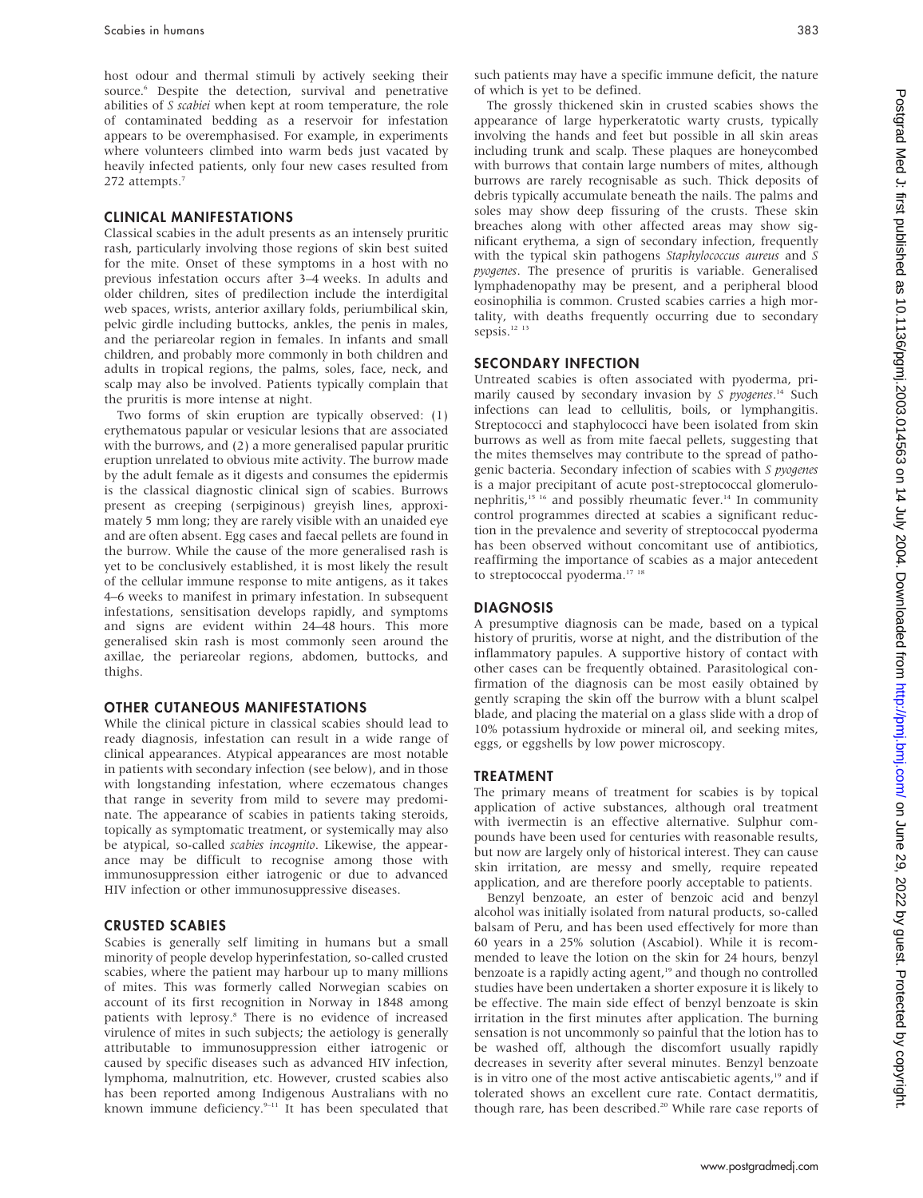host odour and thermal stimuli by actively seeking their source.<sup>6</sup> Despite the detection, survival and penetrative abilities of S scabiei when kept at room temperature, the role of contaminated bedding as a reservoir for infestation appears to be overemphasised. For example, in experiments where volunteers climbed into warm beds just vacated by heavily infected patients, only four new cases resulted from 272 attempts.7

#### CLINICAL MANIFESTATIONS

Classical scabies in the adult presents as an intensely pruritic rash, particularly involving those regions of skin best suited for the mite. Onset of these symptoms in a host with no previous infestation occurs after 3–4 weeks. In adults and older children, sites of predilection include the interdigital web spaces, wrists, anterior axillary folds, periumbilical skin, pelvic girdle including buttocks, ankles, the penis in males, and the periareolar region in females. In infants and small children, and probably more commonly in both children and adults in tropical regions, the palms, soles, face, neck, and scalp may also be involved. Patients typically complain that the pruritis is more intense at night.

Two forms of skin eruption are typically observed: (1) erythematous papular or vesicular lesions that are associated with the burrows, and (2) a more generalised papular pruritic eruption unrelated to obvious mite activity. The burrow made by the adult female as it digests and consumes the epidermis is the classical diagnostic clinical sign of scabies. Burrows present as creeping (serpiginous) greyish lines, approximately 5 mm long; they are rarely visible with an unaided eye and are often absent. Egg cases and faecal pellets are found in the burrow. While the cause of the more generalised rash is yet to be conclusively established, it is most likely the result of the cellular immune response to mite antigens, as it takes 4–6 weeks to manifest in primary infestation. In subsequent infestations, sensitisation develops rapidly, and symptoms and signs are evident within 24–48 hours. This more generalised skin rash is most commonly seen around the axillae, the periareolar regions, abdomen, buttocks, and thighs.

#### OTHER CUTANEOUS MANIFESTATIONS

While the clinical picture in classical scabies should lead to ready diagnosis, infestation can result in a wide range of clinical appearances. Atypical appearances are most notable in patients with secondary infection (see below), and in those with longstanding infestation, where eczematous changes that range in severity from mild to severe may predominate. The appearance of scabies in patients taking steroids, topically as symptomatic treatment, or systemically may also be atypical, so-called scabies incognito. Likewise, the appearance may be difficult to recognise among those with immunosuppression either iatrogenic or due to advanced HIV infection or other immunosuppressive diseases.

#### CRUSTED SCABIES

Scabies is generally self limiting in humans but a small minority of people develop hyperinfestation, so-called crusted scabies, where the patient may harbour up to many millions of mites. This was formerly called Norwegian scabies on account of its first recognition in Norway in 1848 among patients with leprosy.8 There is no evidence of increased virulence of mites in such subjects; the aetiology is generally attributable to immunosuppression either iatrogenic or caused by specific diseases such as advanced HIV infection, lymphoma, malnutrition, etc. However, crusted scabies also has been reported among Indigenous Australians with no known immune deficiency. $9-11$  It has been speculated that such patients may have a specific immune deficit, the nature of which is yet to be defined.

The grossly thickened skin in crusted scabies shows the appearance of large hyperkeratotic warty crusts, typically involving the hands and feet but possible in all skin areas including trunk and scalp. These plaques are honeycombed with burrows that contain large numbers of mites, although burrows are rarely recognisable as such. Thick deposits of debris typically accumulate beneath the nails. The palms and soles may show deep fissuring of the crusts. These skin breaches along with other affected areas may show significant erythema, a sign of secondary infection, frequently with the typical skin pathogens Staphylococcus aureus and S pyogenes. The presence of pruritis is variable. Generalised lymphadenopathy may be present, and a peripheral blood eosinophilia is common. Crusted scabies carries a high mortality, with deaths frequently occurring due to secondary sepsis.<sup>12</sup><sup>13</sup>

# SECONDARY INFECTION

Untreated scabies is often associated with pyoderma, primarily caused by secondary invasion by S pyogenes.<sup>14</sup> Such infections can lead to cellulitis, boils, or lymphangitis. Streptococci and staphylococci have been isolated from skin burrows as well as from mite faecal pellets, suggesting that the mites themselves may contribute to the spread of pathogenic bacteria. Secondary infection of scabies with S pyogenes is a major precipitant of acute post-streptococcal glomerulonephritis,<sup>15 16</sup> and possibly rheumatic fever.<sup>14</sup> In community control programmes directed at scabies a significant reduction in the prevalence and severity of streptococcal pyoderma has been observed without concomitant use of antibiotics, reaffirming the importance of scabies as a major antecedent to streptococcal pyoderma.<sup>17 18</sup>

#### DIAGNOSIS

A presumptive diagnosis can be made, based on a typical history of pruritis, worse at night, and the distribution of the inflammatory papules. A supportive history of contact with other cases can be frequently obtained. Parasitological confirmation of the diagnosis can be most easily obtained by gently scraping the skin off the burrow with a blunt scalpel blade, and placing the material on a glass slide with a drop of 10% potassium hydroxide or mineral oil, and seeking mites, eggs, or eggshells by low power microscopy.

## TREATMENT

The primary means of treatment for scabies is by topical application of active substances, although oral treatment with ivermectin is an effective alternative. Sulphur compounds have been used for centuries with reasonable results, but now are largely only of historical interest. They can cause skin irritation, are messy and smelly, require repeated application, and are therefore poorly acceptable to patients.

Benzyl benzoate, an ester of benzoic acid and benzyl alcohol was initially isolated from natural products, so-called balsam of Peru, and has been used effectively for more than 60 years in a 25% solution (Ascabiol). While it is recommended to leave the lotion on the skin for 24 hours, benzyl benzoate is a rapidly acting agent,<sup>19</sup> and though no controlled studies have been undertaken a shorter exposure it is likely to be effective. The main side effect of benzyl benzoate is skin irritation in the first minutes after application. The burning sensation is not uncommonly so painful that the lotion has to be washed off, although the discomfort usually rapidly decreases in severity after several minutes. Benzyl benzoate is in vitro one of the most active antiscabietic agents,<sup>19</sup> and if tolerated shows an excellent cure rate. Contact dermatitis, though rare, has been described.<sup>20</sup> While rare case reports of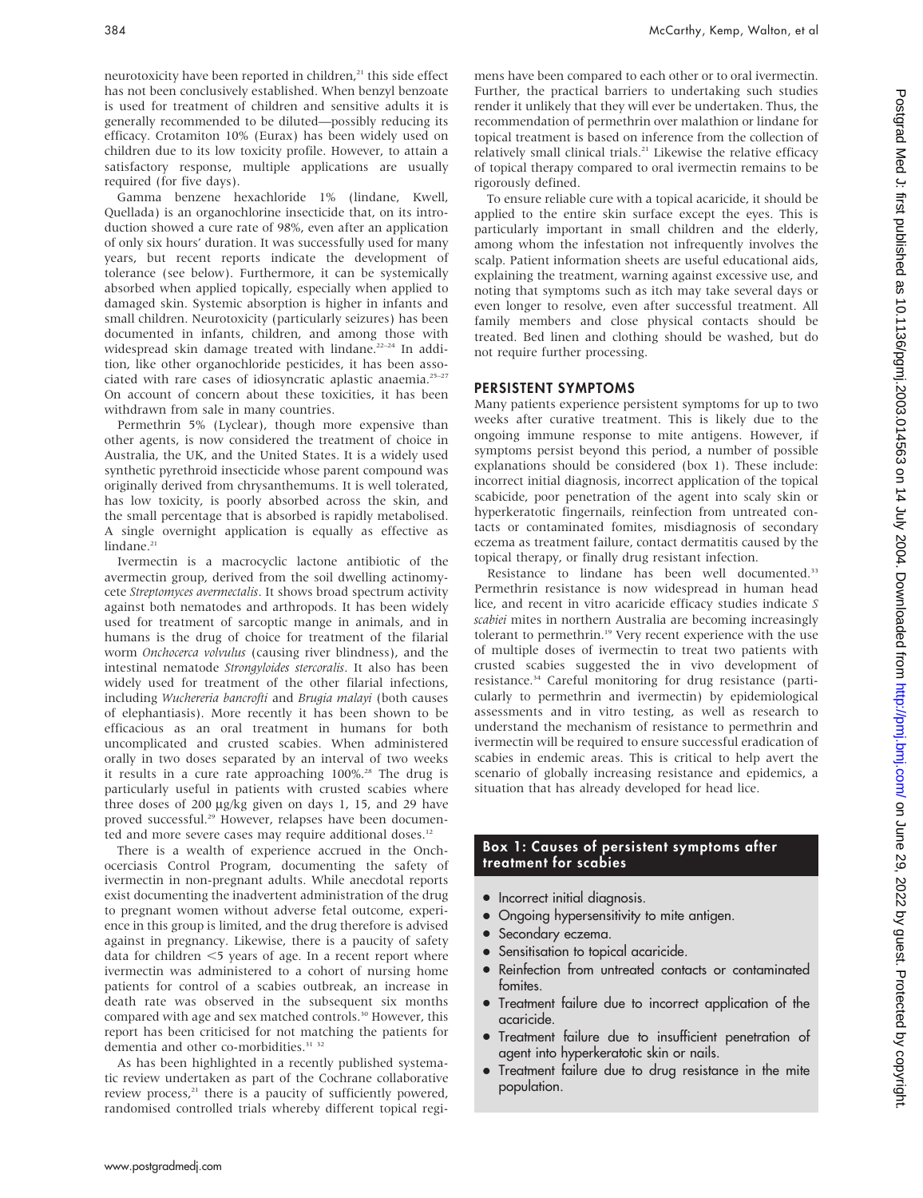neurotoxicity have been reported in children,<sup>21</sup> this side effect has not been conclusively established. When benzyl benzoate is used for treatment of children and sensitive adults it is generally recommended to be diluted—possibly reducing its efficacy. Crotamiton 10% (Eurax) has been widely used on children due to its low toxicity profile. However, to attain a satisfactory response, multiple applications are usually required (for five days).

Gamma benzene hexachloride 1% (lindane, Kwell, Quellada) is an organochlorine insecticide that, on its introduction showed a cure rate of 98%, even after an application of only six hours' duration. It was successfully used for many years, but recent reports indicate the development of tolerance (see below). Furthermore, it can be systemically absorbed when applied topically, especially when applied to damaged skin. Systemic absorption is higher in infants and small children. Neurotoxicity (particularly seizures) has been documented in infants, children, and among those with widespread skin damage treated with lindane.<sup>22-24</sup> In addition, like other organochloride pesticides, it has been associated with rare cases of idiosyncratic aplastic anaemia.<sup>25-27</sup> On account of concern about these toxicities, it has been withdrawn from sale in many countries.

Permethrin 5% (Lyclear), though more expensive than other agents, is now considered the treatment of choice in Australia, the UK, and the United States. It is a widely used synthetic pyrethroid insecticide whose parent compound was originally derived from chrysanthemums. It is well tolerated, has low toxicity, is poorly absorbed across the skin, and the small percentage that is absorbed is rapidly metabolised. A single overnight application is equally as effective as lindane.<sup>21</sup>

Ivermectin is a macrocyclic lactone antibiotic of the avermectin group, derived from the soil dwelling actinomycete Streptomyces avermectalis. It shows broad spectrum activity against both nematodes and arthropods. It has been widely used for treatment of sarcoptic mange in animals, and in humans is the drug of choice for treatment of the filarial worm Onchocerca volvulus (causing river blindness), and the intestinal nematode Strongyloides stercoralis. It also has been widely used for treatment of the other filarial infections, including Wuchereria bancrofti and Brugia malayi (both causes of elephantiasis). More recently it has been shown to be efficacious as an oral treatment in humans for both uncomplicated and crusted scabies. When administered orally in two doses separated by an interval of two weeks it results in a cure rate approaching  $100\%$ <sup>28</sup> The drug is particularly useful in patients with crusted scabies where three doses of  $200 \mu g/kg$  given on days 1, 15, and 29 have proved successful.<sup>29</sup> However, relapses have been documented and more severe cases may require additional doses.<sup>12</sup>

There is a wealth of experience accrued in the Onchocerciasis Control Program, documenting the safety of ivermectin in non-pregnant adults. While anecdotal reports exist documenting the inadvertent administration of the drug to pregnant women without adverse fetal outcome, experience in this group is limited, and the drug therefore is advised against in pregnancy. Likewise, there is a paucity of safety data for children  $<$ 5 years of age. In a recent report where ivermectin was administered to a cohort of nursing home patients for control of a scabies outbreak, an increase in death rate was observed in the subsequent six months compared with age and sex matched controls.<sup>30</sup> However, this report has been criticised for not matching the patients for dementia and other co-morbidities.<sup>31</sup> <sup>32</sup>

As has been highlighted in a recently published systematic review undertaken as part of the Cochrane collaborative review process, $21$  there is a paucity of sufficiently powered, randomised controlled trials whereby different topical regimens have been compared to each other or to oral ivermectin. Further, the practical barriers to undertaking such studies render it unlikely that they will ever be undertaken. Thus, the recommendation of permethrin over malathion or lindane for topical treatment is based on inference from the collection of relatively small clinical trials.<sup>21</sup> Likewise the relative efficacy of topical therapy compared to oral ivermectin remains to be rigorously defined.

To ensure reliable cure with a topical acaricide, it should be applied to the entire skin surface except the eyes. This is particularly important in small children and the elderly, among whom the infestation not infrequently involves the scalp. Patient information sheets are useful educational aids, explaining the treatment, warning against excessive use, and noting that symptoms such as itch may take several days or even longer to resolve, even after successful treatment. All family members and close physical contacts should be treated. Bed linen and clothing should be washed, but do not require further processing.

# PERSISTENT SYMPTOMS

Many patients experience persistent symptoms for up to two weeks after curative treatment. This is likely due to the ongoing immune response to mite antigens. However, if symptoms persist beyond this period, a number of possible explanations should be considered (box 1). These include: incorrect initial diagnosis, incorrect application of the topical scabicide, poor penetration of the agent into scaly skin or hyperkeratotic fingernails, reinfection from untreated contacts or contaminated fomites, misdiagnosis of secondary eczema as treatment failure, contact dermatitis caused by the topical therapy, or finally drug resistant infection.

Resistance to lindane has been well documented.<sup>33</sup> Permethrin resistance is now widespread in human head lice, and recent in vitro acaricide efficacy studies indicate S scabiei mites in northern Australia are becoming increasingly tolerant to permethrin.<sup>19</sup> Very recent experience with the use of multiple doses of ivermectin to treat two patients with crusted scabies suggested the in vivo development of resistance.<sup>34</sup> Careful monitoring for drug resistance (particularly to permethrin and ivermectin) by epidemiological assessments and in vitro testing, as well as research to understand the mechanism of resistance to permethrin and ivermectin will be required to ensure successful eradication of scabies in endemic areas. This is critical to help avert the scenario of globally increasing resistance and epidemics, a situation that has already developed for head lice.

# Box 1: Causes of persistent symptoms after treatment for scabies

- Incorrect initial diagnosis.
- Ongoing hypersensitivity to mite antigen.
- Secondary eczema.
- Sensitisation to topical acaricide.
- Reinfection from untreated contacts or contaminated fomites.
- Treatment failure due to incorrect application of the acaricide.
- Treatment failure due to insufficient penetration of agent into hyperkeratotic skin or nails.
- Treatment failure due to drug resistance in the mite population.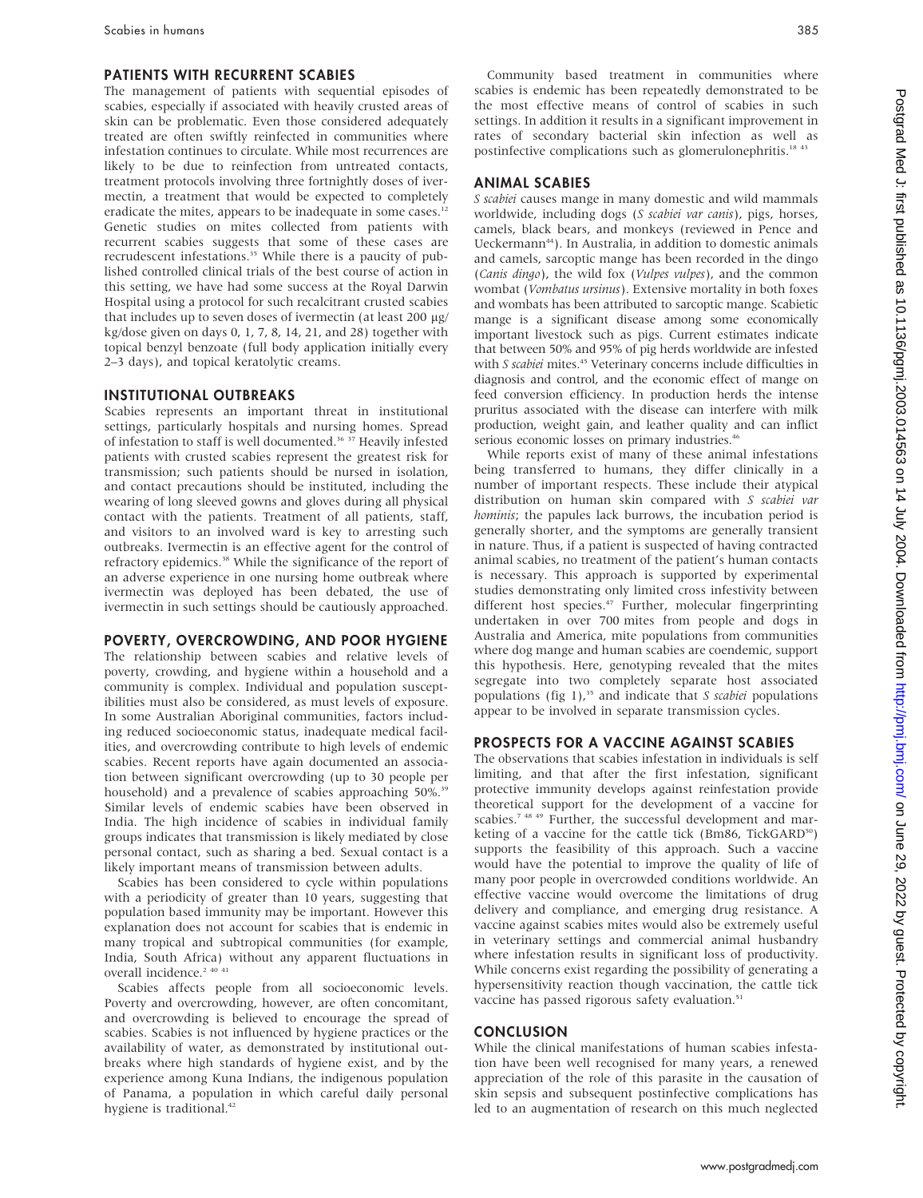# PATIENTS WITH RECURRENT SCABIES

The management of patients with sequential episodes of scabies, especially if associated with heavily crusted areas of skin can be problematic. Even those considered adequately treated are often swiftly reinfected in communities where infestation continues to circulate. While most recurrences are likely to be due to reinfection from untreated contacts, treatment protocols involving three fortnightly doses of ivermectin, a treatment that would be expected to completely eradicate the mites, appears to be inadequate in some cases.<sup>12</sup> Genetic studies on mites collected from patients with recurrent scabies suggests that some of these cases are recrudescent infestations.<sup>35</sup> While there is a paucity of published controlled clinical trials of the best course of action in this setting, we have had some success at the Royal Darwin Hospital using a protocol for such recalcitrant crusted scabies that includes up to seven doses of ivermectin (at least 200 mg/ kg/dose given on days 0, 1, 7, 8, 14, 21, and 28) together with topical benzyl benzoate (full body application initially every 2–3 days), and topical keratolytic creams.

# INSTITUTIONAL OUTBREAKS

Scabies represents an important threat in institutional settings, particularly hospitals and nursing homes. Spread of infestation to staff is well documented.36 37 Heavily infested patients with crusted scabies represent the greatest risk for transmission; such patients should be nursed in isolation, and contact precautions should be instituted, including the wearing of long sleeved gowns and gloves during all physical contact with the patients. Treatment of all patients, staff, and visitors to an involved ward is key to arresting such outbreaks. Ivermectin is an effective agent for the control of refractory epidemics.<sup>38</sup> While the significance of the report of an adverse experience in one nursing home outbreak where ivermectin was deployed has been debated, the use of ivermectin in such settings should be cautiously approached.

# POVERTY, OVERCROWDING, AND POOR HYGIENE

The relationship between scabies and relative levels of poverty, crowding, and hygiene within a household and a community is complex. Individual and population susceptibilities must also be considered, as must levels of exposure. In some Australian Aboriginal communities, factors including reduced socioeconomic status, inadequate medical facilities, and overcrowding contribute to high levels of endemic scabies. Recent reports have again documented an association between significant overcrowding (up to 30 people per household) and a prevalence of scabies approaching 50%.<sup>39</sup> Similar levels of endemic scabies have been observed in India. The high incidence of scabies in individual family groups indicates that transmission is likely mediated by close personal contact, such as sharing a bed. Sexual contact is a likely important means of transmission between adults.

Scabies has been considered to cycle within populations with a periodicity of greater than 10 years, suggesting that population based immunity may be important. However this explanation does not account for scabies that is endemic in many tropical and subtropical communities (for example, India, South Africa) without any apparent fluctuations in overall incidence.<sup>2 40 4</sup>

Scabies affects people from all socioeconomic levels. Poverty and overcrowding, however, are often concomitant, and overcrowding is believed to encourage the spread of scabies. Scabies is not influenced by hygiene practices or the availability of water, as demonstrated by institutional outbreaks where high standards of hygiene exist, and by the experience among Kuna Indians, the indigenous population of Panama, a population in which careful daily personal hygiene is traditional.<sup>42</sup>

Community based treatment in communities where scabies is endemic has been repeatedly demonstrated to be the most effective means of control of scabies in such settings. In addition it results in a significant improvement in rates of secondary bacterial skin infection as well as postinfective complications such as glomerulonephritis.<sup>18</sup><sup>43</sup>

# ANIMAL SCABIES

S scabiei causes mange in many domestic and wild mammals worldwide, including dogs (S scabiei var canis), pigs, horses, camels, black bears, and monkeys (reviewed in Pence and Ueckermann<sup>44</sup>). In Australia, in addition to domestic animals and camels, sarcoptic mange has been recorded in the dingo (Canis dingo), the wild fox (Vulpes vulpes), and the common wombat (Vombatus ursinus). Extensive mortality in both foxes and wombats has been attributed to sarcoptic mange. Scabietic mange is a significant disease among some economically important livestock such as pigs. Current estimates indicate that between 50% and 95% of pig herds worldwide are infested with *S scabiei* mites.<sup>45</sup> Veterinary concerns include difficulties in diagnosis and control, and the economic effect of mange on feed conversion efficiency. In production herds the intense pruritus associated with the disease can interfere with milk production, weight gain, and leather quality and can inflict serious economic losses on primary industries.<sup>46</sup>

While reports exist of many of these animal infestations being transferred to humans, they differ clinically in a number of important respects. These include their atypical distribution on human skin compared with S scabiei var hominis; the papules lack burrows, the incubation period is generally shorter, and the symptoms are generally transient in nature. Thus, if a patient is suspected of having contracted animal scabies, no treatment of the patient's human contacts is necessary. This approach is supported by experimental studies demonstrating only limited cross infestivity between different host species.47 Further, molecular fingerprinting undertaken in over 700 mites from people and dogs in Australia and America, mite populations from communities where dog mange and human scabies are coendemic, support this hypothesis. Here, genotyping revealed that the mites segregate into two completely separate host associated populations (fig 1), $35$  and indicate that *S scabiei* populations appear to be involved in separate transmission cycles.

# PROSPECTS FOR A VACCINE AGAINST SCABIES

The observations that scabies infestation in individuals is self limiting, and that after the first infestation, significant protective immunity develops against reinfestation provide theoretical support for the development of a vaccine for scabies.<sup>7</sup> <sup>48 49</sup> Further, the successful development and marketing of a vaccine for the cattle tick (Bm86, TickGARD<sup>50</sup>) supports the feasibility of this approach. Such a vaccine would have the potential to improve the quality of life of many poor people in overcrowded conditions worldwide. An effective vaccine would overcome the limitations of drug delivery and compliance, and emerging drug resistance. A vaccine against scabies mites would also be extremely useful in veterinary settings and commercial animal husbandry where infestation results in significant loss of productivity. While concerns exist regarding the possibility of generating a hypersensitivity reaction though vaccination, the cattle tick vaccine has passed rigorous safety evaluation.<sup>51</sup>

#### CONCLUSION

While the clinical manifestations of human scabies infestation have been well recognised for many years, a renewed appreciation of the role of this parasite in the causation of skin sepsis and subsequent postinfective complications has led to an augmentation of research on this much neglected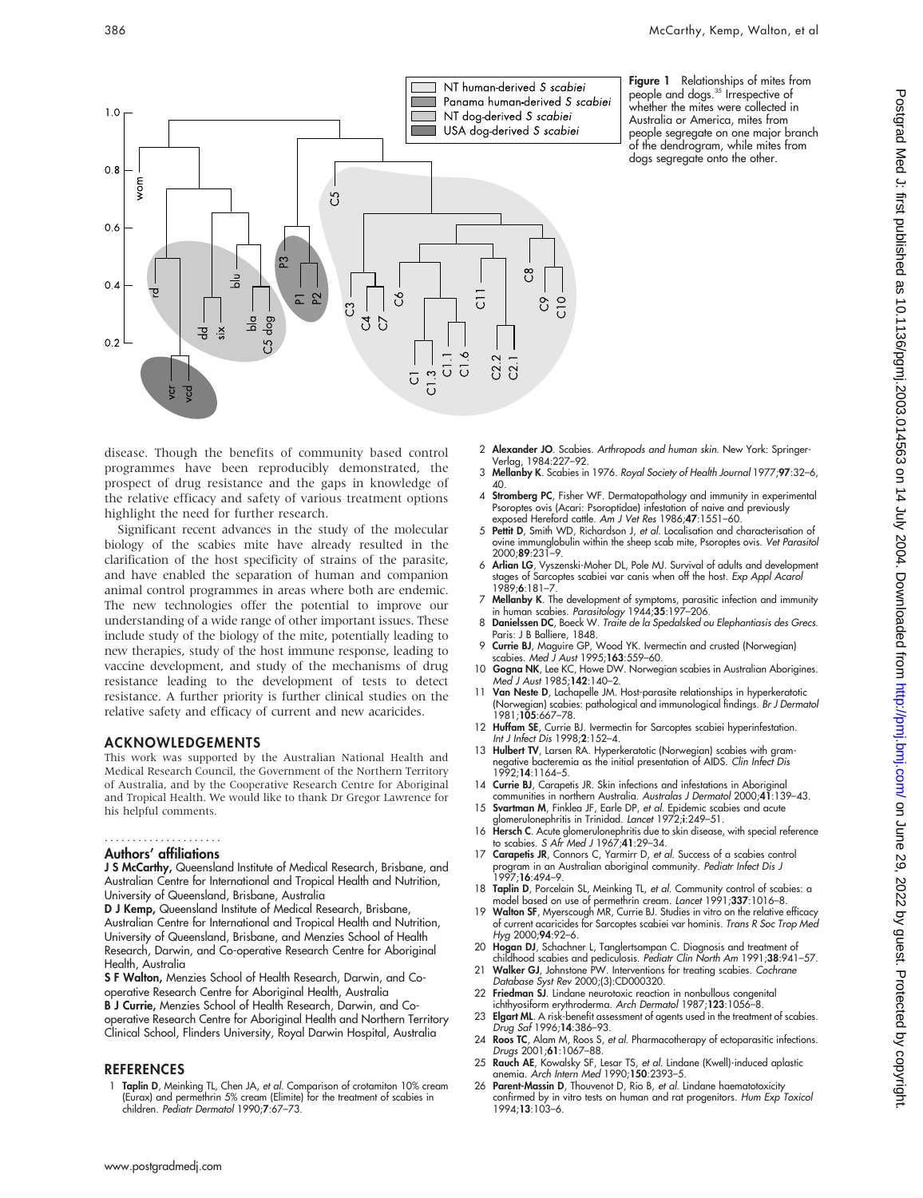

Figure 1 Relationships of mites from people and dogs.35 Irrespective of whether the mites were collected in Australia or America, mites from people segregate on one major branch of the dendrogram, while mites from dogs segregate onto the other.

disease. Though the benefits of community based control programmes have been reproducibly demonstrated, the prospect of drug resistance and the gaps in knowledge of the relative efficacy and safety of various treatment options highlight the need for further research.

Significant recent advances in the study of the molecular biology of the scabies mite have already resulted in the clarification of the host specificity of strains of the parasite, and have enabled the separation of human and companion animal control programmes in areas where both are endemic. The new technologies offer the potential to improve our understanding of a wide range of other important issues. These include study of the biology of the mite, potentially leading to new therapies, study of the host immune response, leading to vaccine development, and study of the mechanisms of drug resistance leading to the development of tests to detect resistance. A further priority is further clinical studies on the relative safety and efficacy of current and new acaricides.

# ACKNOWLEDGEMENTS

This work was supported by the Australian National Health and Medical Research Council, the Government of the Northern Territory of Australia, and by the Cooperative Research Centre for Aboriginal and Tropical Health. We would like to thank Dr Gregor Lawrence for his helpful comments.

# .....................

# Authors' affiliations

J S McCarthy, Queensland Institute of Medical Research, Brisbane, and Australian Centre for International and Tropical Health and Nutrition, University of Queensland, Brisbane, Australia

D J Kemp, Queensland Institute of Medical Research, Brisbane, Australian Centre for International and Tropical Health and Nutrition, University of Queensland, Brisbane, and Menzies School of Health Research, Darwin, and Co-operative Research Centre for Aboriginal Health, Australia

S F Walton, Menzies School of Health Research, Darwin, and Cooperative Research Centre for Aboriginal Health, Australia B J Currie, Menzies School of Health Research, Darwin, and Cooperative Research Centre for Aboriginal Health and Northern Territory Clinical School, Flinders University, Royal Darwin Hospital, Australia

#### REFERENCES

Taplin D, Meinking TL, Chen JA, et al. Comparison of crotamiton 10% cream (Eurax) and permethrin 5% cream (Elimite) for the treatment of scabies in children. Pediatr Dermatol 1990;7:67–73.

- 2 Alexander JO. Scabies. Arthropods and human skin. New York: Springer-Verlag, 1984:227–92.
- 3 Mellanby K. Scabies in 1976. Royal Society of Health Journal 1977;97:32-6,
- 40. 4 Stromberg PC, Fisher WF. Dermatopathology and immunity in experimental Psoroptes ovis (Acari: Psoroptidae) infestation of naive and previously exposed Hereford cattle. Am J Vet Res 1986;47:1551–60.
- 5 Pettit D, Smith WD, Richardson J, et al. Localisation and characterisation of ovine immunglobulin within the sheep scab mite, Psoroptes ovis. Vet Parasitol 2000;89:231–9.
- 6 Arlian LG, Vyszenski-Moher DL, Pole MJ. Survival of adults and development stages of Sarcoptes scabiei var canis when off the host. Exp Appl Acarol 1989;6:181–7.
- 7 Mellanby K. The development of symptoms, parasitic infection and immunity in human scabies. Parasitology 1944;35:197–206.
- 8 Danielssen DC, Boeck W. Traite de la Spedalsked ou Elephantiasis des Grecs. Paris: J B Balliere, 1848.
- 9 Currie BJ, Maguire GP, Wood YK. Ivermectin and crusted (Norwegian) scabies. Med J Aust 1995;163:559-60.
- 10 Gogna NK, Lee KC, Howe DW. Norwegian scabies in Australian Aborigines. Med J Aust 1985;142:140–2.
- 11 **Van Neste D**, Lachapelle JM. Host-parasite relationships in hyperkeratotic<br>(Norwegian) scabies: pathological and immunological findings. Br J Dermato 1981;105:667–78.
- 12 Huffam SE, Currie BJ. Ivermectin for Sarcoptes scabiei hyperinfestation. Int J Infect Dis 1998;2:152–4.
- 13 Hulbert TV, Larsen RA. Hyperkeratotic (Norwegian) scabies with gramnegative bacteremia as the initial presentation of AIDS. Clin Infect Dis  $1992 \cdot 14.1164 - 5$
- 14 Currie BJ, Carapetis JR. Skin infections and infestations in Aboriginal communities in northern Australia. Australas J Dermatol 2000;41:139–43.
- 15 Svartman M, Finklea JF, Earle DP, et al. Epidemic scabies and acute glomerulonephritis in Trinidad. Lancet 1972;i:249–51.
- 16 Hersch C. Acute glomerulonephritis due to skin disease, with special reference to scabies. S Afr Med J 1967;41:29–34.
- 17 Carapetis JR, Connors C, Yarmirr D, et al. Success of a scabies control program in an Australian aboriginal community. Pediatr Infect Dis J 1997;16:494–9.
- 18 Taplin D, Porcelain SL, Meinking TL, et al. Community control of scabies: a model based on use of permethrin cream. Lancet 1991;337:1016–8.
- 19 Walton SF, Myerscough MR, Currie BJ. Studies in vitro on the relative efficacy of current acaricides for Sarcoptes scabiei var hominis. Trans R Soc Trop Med Hyg 2000;94:92–6.
- 20 Hogan DJ, Schachner L, Tanglertsampan C. Diagnosis and treatment of childhood scabies and pediculosis. Pediatr Clin North Am 1991;38:941–57.
- Walker GJ, Johnstone PW. Interventions for treating scabies. Cochrane Database Syst Rev 2000;(3):CD000320.
- 22 Friedman SJ. Lindane neurotoxic reaction in nonbullous congenital ichthyosiform erythroderma. Arch Dermatol 1987;123:1056–8.
- 23 Elgart ML. A risk-benefit assessment of agents used in the treatment of scabies. Drug Saf 1996;14:386–93.
- 24 Roos TC, Alam M, Roos S, et al. Pharmacotherapy of ectoparasitic infections. Drugs 2001;61:1067–88.
- 25 Rauch AE, Kowalsky SF, Lesar TS, et al. Lindane (Kwell)-induced aplastic anemia. Arch Intern Med 1990;150:2393–5.
- 26 Parent-Massin D, Thouvenot D, Rio B, et al. Lindane haematotoxicity confirmed by in vitro tests on human and rat progenitors. Hum Exp Toxicol 1994;13:103–6.